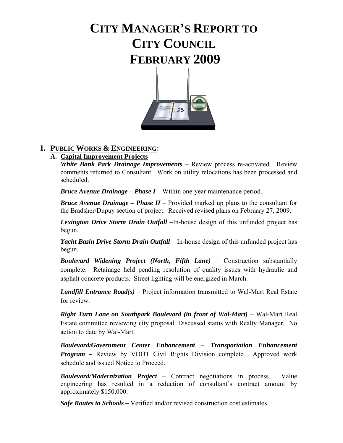# **CITY MANAGER'S REPORT TO CITY COUNCIL FEBRUARY 2009**



## **I. PUBLIC WORKS & ENGINEERING**:

## **A. Capital Improvement Projects**

 *White Bank Park Drainage Improvements* – Review process re-activated. Review comments returned to Consultant. Work on utility relocations has been processed and scheduled.

*Bruce Avenue Drainage – Phase I* – Within one-year maintenance period.

*Bruce Avenue Drainage – Phase II* – Provided marked up plans to the consultant for the Bradsher/Dupuy section of project. Received revised plans on February 27, 2009.

*Lexington Drive Storm Drain Outfall* –In-house design of this unfunded project has begun.

 *Yacht Basin Drive Storm Drain Outfall* – In-house design of this unfunded project has begun.

**Boulevard Widening Project (North, Fifth Lane)** – Construction substantially complete. Retainage held pending resolution of quality issues with hydraulic and asphalt concrete products. Street lighting will be energized in March.

*Landfill Entrance Road(s)* – Project information transmitted to Wal-Mart Real Estate for review.

*Right Turn Lane on Southpark Boulevard (in front of Wal-Mart)* – Wal-Mart Real Estate committee reviewing city proposal. Discussed status with Realty Manager. No action to date by Wal-Mart.

*Boulevard/Government Center Enhancement – Transportation Enhancement Program –* Review by VDOT Civil Rights Division complete. Approved work schedule and issued Notice to Proceed.

 *Boulevard/Modernization Project* – Contract negotiations in process. Value engineering has resulted in a reduction of consultant's contract amount by approximately \$150,000.

 *Safe Routes to Schools* **–** Verified and/or revised construction cost estimates.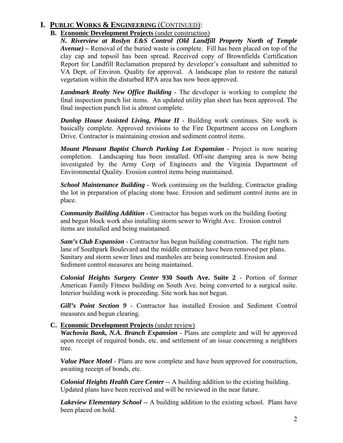## **I. PUBLIC WORKS & ENGINEERING** (CONTINUED):

### **B. Economic Development Projects** (under construction)

*N. Riverview at Roslyn E&S Control (Old Landfill Property North of Temple Avenue) –* Removal of the buried waste is complete. Fill has been placed on top of the clay cap and topsoil has been spread. Received copy of Brownfields Certification Report for Landfill Reclamation prepared by developer's consultant and submitted to VA Dept. of Environ. Quality for approval. A landscape plan to restore the natural vegetation within the disturbed RPA area has now been approved.

*Landmark Realty New Office Building* - The developer is working to complete the final inspection punch list items. An updated utility plan sheet has been approved. The final inspection punch list is almost complete.

*Dunlop House Assisted Living, Phase II* - Building work continues. Site work is basically complete. Approved revisions to the Fire Department access on Longhorn Drive. Contractor is maintaining erosion and sediment control items.

*Mount Pleasant Baptist Church Parking Lot Expansion - Project is now nearing* completion. Landscaping has been installed. Off-site dumping area is now being investigated by the Army Corp of Engineers and the Virginia Department of Environmental Quality. Erosion control items being maintained.

*School Maintenance Building* - Work continuing on the building. Contractor grading the lot in preparation of placing stone base. Erosion and sediment control items are in place.

*Community Building Addition* - Contractor has begun work on the building footing and begun block work also installing storm sewer to Wright Ave. Erosion control items are installed and being maintained.

*Sam's Club Expansion* - Contractor has begun building construction. The right turn lane of Southpark Boulevard and the middle entrance have been removed per plans. Sanitary and storm sewer lines and manholes are being constructed. Erosion and Sediment control measures are being maintained.

*Colonial Heights Surgery Center* **930 South Ave. Suite 2** - Portion of former American Family Fitness building on South Ave. being converted to a surgical suite. Interior building work is proceeding. Site work has not begun.

*Gill's Point Section 9* - Contractor has installed Erosion and Sediment Control measures and begun clearing.

## **C. Economic Development Projects** (under review)

*Wachovia Bank, N.A. Branch Expansion* - Plans are complete and will be approved upon receipt of required bonds, etc. and settlement of an issue concerning a neighbors tree.

*Value Place Motel* - Plans are now complete and have been approved for construction, awaiting receipt of bonds, etc.

*Colonial Heights Health Care Center* -- A building addition to the existing building. Updated plans have been received and will be reviewed in the near future.

*Lakeview Elementary School* -- A building addition to the existing school. Plans have been placed on hold.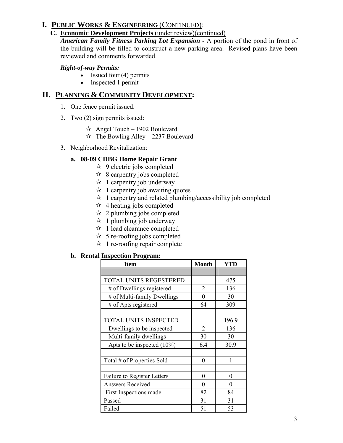## **I. PUBLIC WORKS & ENGINEERING** (CONTINUED):

### **C. Economic Development Projects** (under review)(continued)

*American Family Fitness Parking Lot Expansion* - A portion of the pond in front of the building will be filled to construct a new parking area. Revised plans have been reviewed and comments forwarded.

### *Right-of-way Permits:*

- Issued four  $(4)$  permits
- Inspected 1 permit

## **II. PLANNING & COMMUNITY DEVELOPMENT:**

- 1. One fence permit issued.
- 2. Two (2) sign permits issued:
	- $\approx$  Angel Touch 1902 Boulevard
	- $\approx$  The Bowling Alley 2237 Boulevard
- 3. Neighborhood Revitalization:

## **a. 08-09 CDBG Home Repair Grant**

- $\approx$  9 electric jobs completed
- $\approx$  8 carpentry jobs completed
- $\star$  1 carpentry job underway
- $\approx$  1 carpentry job awaiting quotes
- $\star$  1 carpentry and related plumbing/accessibility job completed
- $\star\star$  4 heating jobs completed
- $\approx$  2 plumbing jobs completed
- $\approx$  1 plumbing job underway
- $\star$  1 lead clearance completed
- $\approx$  5 re-roofing jobs completed
- $\star$  1 re-roofing repair complete

### **b. Rental Inspection Program:**

| <b>Item</b>                   | <b>Month</b>     | <b>YTD</b> |
|-------------------------------|------------------|------------|
|                               |                  |            |
| TOTAL UNITS REGESTERED        |                  | 475        |
| # of Dwellings registered     | 2                | 136        |
| # of Multi-family Dwellings   | $\boldsymbol{0}$ | 30         |
| # of Apts registered          | 64               | 309        |
|                               |                  |            |
| TOTAL UNITS INSPECTED         |                  | 196.9      |
| Dwellings to be inspected     | 2                | 136        |
| Multi-family dwellings        | 30               | 30         |
| Apts to be inspected $(10\%)$ | 6.4              | 30.9       |
|                               |                  |            |
| Total # of Properties Sold    | $\theta$         | 1          |
|                               |                  |            |
| Failure to Register Letters   | $\theta$         | $\theta$   |
| <b>Answers Received</b>       | 0                | 0          |
| First Inspections made        | 82               | 84         |
| Passed                        | 31               | 31         |
| Failed                        | 51               | 53         |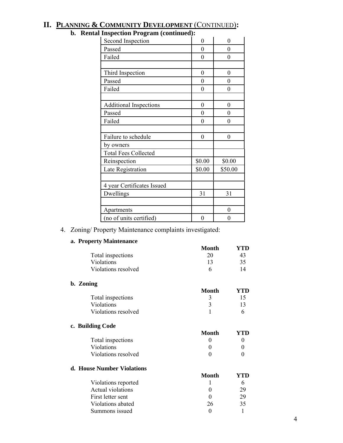|  | <b>II. PLANNING &amp; COMMUNITY DEVELOPMENT (CONTINUED):</b> |  |
|--|--------------------------------------------------------------|--|
|  |                                                              |  |

| і пізресноп ртодгані (сопинцец); |                  |                  |
|----------------------------------|------------------|------------------|
| Second Inspection                | $\theta$         | 0                |
| Passed                           | $\theta$         | 0                |
| Failed                           | $\overline{0}$   | $\boldsymbol{0}$ |
|                                  |                  |                  |
| Third Inspection                 | $\overline{0}$   | $\theta$         |
| Passed                           | $\overline{0}$   | $\boldsymbol{0}$ |
| Failed                           | $\overline{0}$   | $\theta$         |
|                                  |                  |                  |
| <b>Additional Inspections</b>    | $\boldsymbol{0}$ | $\overline{0}$   |
| Passed                           | $\overline{0}$   | 0                |
| Failed                           | $\overline{0}$   | 0                |
|                                  |                  |                  |
| Failure to schedule              | $\boldsymbol{0}$ | $\boldsymbol{0}$ |
| by owners                        |                  |                  |
| <b>Total Fees Collected</b>      |                  |                  |
| Reinspection                     | \$0.00           | \$0.00           |
| Late Registration                | \$0.00           | \$50.00          |
|                                  |                  |                  |
| 4 year Certificates Issued       |                  |                  |
| Dwellings                        | 31               | 31               |
|                                  |                  |                  |
| Apartments                       |                  | $\theta$         |
| (no of units certified)          | 0                | $\theta$         |
|                                  |                  |                  |

## **b. Rental Inspection Program (continued):**

4. Zoning/ Property Maintenance complaints investigated:

## **a. Property Maintenance**

**b.** 

**c. Building Code** 

|           |                            | Month        | YTD |
|-----------|----------------------------|--------------|-----|
|           | Total inspections          | 20           | 43  |
|           | Violations                 | 13           | 35  |
|           | Violations resolved        | 6            | 14  |
| b. Zoning |                            |              |     |
|           |                            | <b>Month</b> | YTD |
|           | Total inspections          | 3            | 15  |
|           | Violations                 | 3            | 13  |
|           | Violations resolved        |              | 6   |
|           | c. Building Code           |              |     |
|           |                            | <b>Month</b> | YTD |
|           | Total inspections          | $\theta$     | 0   |
|           | Violations                 | 0            | 0   |
|           | Violations resolved        | 0            |     |
|           | d. House Number Violations |              |     |
|           |                            | Month        |     |
|           | $- - - -$                  |              |     |

| Violations reported |    |    |
|---------------------|----|----|
| Actual violations   |    | 29 |
| First letter sent   |    | 29 |
| Violations abated   | 26 | 35 |
| Summons issued      |    |    |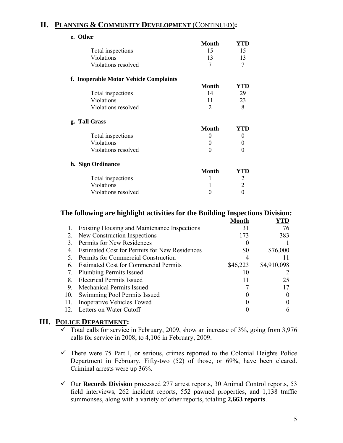## **II. PLANNING & COMMUNITY DEVELOPMENT** (CONTINUED)**:**

| e. Other |                                        |                |                |
|----------|----------------------------------------|----------------|----------------|
|          |                                        | Month          | YTD            |
|          | Total inspections                      | 15             | 15             |
|          | Violations                             | 13             | 13             |
|          | Violations resolved                    | 7              | 7              |
|          | f. Inoperable Motor Vehicle Complaints |                |                |
|          |                                        | Month          | YTD            |
|          | Total inspections                      | 14             | 29             |
|          | Violations                             | 11             | 23             |
|          | Violations resolved                    | $\overline{2}$ | 8              |
|          | g. Tall Grass                          |                |                |
|          |                                        | Month          | YTD            |
|          | Total inspections                      | 0              | 0              |
|          | Violations                             | $\Omega$       | 0              |
|          | Violations resolved                    | $\Omega$       | 0              |
|          | h. Sign Ordinance                      |                |                |
|          |                                        | <b>Month</b>   | YTD            |
|          | Total inspections                      | 1              | 2              |
|          | Violations                             |                | $\overline{2}$ |
|          | Violations resolved                    | 0              | $\overline{0}$ |
|          |                                        |                |                |

## **The following are highlight activities for the Building Inspections Division:**

|               |                                                      | Month    |             |
|---------------|------------------------------------------------------|----------|-------------|
|               | Existing Housing and Maintenance Inspections         | 31       | 76          |
| 2.            | New Construction Inspections                         | 173      | 383         |
| 3             | Permits for New Residences                           |          |             |
| 4             | <b>Estimated Cost for Permits for New Residences</b> | \$0      | \$76,000    |
|               | Permits for Commercial Construction                  |          |             |
| 6             | <b>Estimated Cost for Commercial Permits</b>         | \$46,223 | \$4,910,098 |
| 7.            | <b>Plumbing Permits Issued</b>                       | 10       |             |
| 8             | <b>Electrical Permits Issued</b>                     | 11       | 25          |
| 9.            | <b>Mechanical Permits Issued</b>                     |          |             |
| 10.           | Swimming Pool Permits Issued                         |          |             |
| 11.           | Inoperative Vehicles Towed                           |          |             |
| $12_{\ldots}$ | Letters on Water Cutoff                              |          |             |
|               |                                                      |          |             |

## **III. POLICE DEPARTMENT:**

- $\checkmark$  Total calls for service in February, 2009, show an increase of 3%, going from 3,976 calls for service in 2008, to 4,106 in February, 2009.
- $\checkmark$  There were 75 Part I, or serious, crimes reported to the Colonial Heights Police Department in February. Fifty-two (52) of those, or 69%, have been cleared. Criminal arrests were up 36%.
- 9 Our **Records Division** processed 277 arrest reports, 30 Animal Control reports, 53 field interviews, 262 incident reports, 552 pawned properties, and 1,138 traffic summonses, along with a variety of other reports, totaling **2,663 reports**.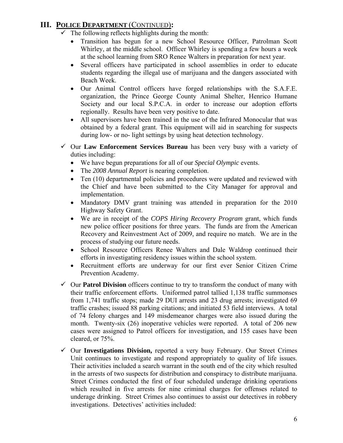## **III. POLICE DEPARTMENT** (CONTINUED)**:**

- $\checkmark$  The following reflects highlights during the month:
	- Transition has begun for a new School Resource Officer, Patrolman Scott Whirley, at the middle school. Officer Whirley is spending a few hours a week at the school learning from SRO Renee Walters in preparation for next year.
	- Several officers have participated in school assemblies in order to educate students regarding the illegal use of marijuana and the dangers associated with Beach Week.
	- Our Animal Control officers have forged relationships with the S.A.F.E. organization, the Prince George County Animal Shelter, Henrico Humane Society and our local S.P.C.A. in order to increase our adoption efforts regionally. Results have been very positive to date.
	- All supervisors have been trained in the use of the Infrared Monocular that was obtained by a federal grant. This equipment will aid in searching for suspects during low- or no- light settings by using heat detection technology.
- $\checkmark$  Our **Law Enforcement Services Bureau** has been very busy with a variety of duties including:
	- We have begun preparations for all of our *Special Olympic* events.
	- The *2008 Annual Report* is nearing completion.
	- Ten (10) departmental policies and procedures were updated and reviewed with the Chief and have been submitted to the City Manager for approval and implementation.
	- Mandatory DMV grant training was attended in preparation for the 2010 Highway Safety Grant.
	- We are in receipt of the *COPS Hiring Recovery Program* grant, which funds new police officer positions for three years. The funds are from the American Recovery and Reinvestment Act of 2009, and require no match. We are in the process of studying our future needs.
	- School Resource Officers Renee Walters and Dale Waldrop continued their efforts in investigating residency issues within the school system.
	- Recruitment efforts are underway for our first ever Senior Citizen Crime Prevention Academy.
- $\checkmark$  Our **Patrol Division** officers continue to try to transform the conduct of many with their traffic enforcement efforts. Uniformed patrol tallied 1,138 traffic summonses from 1,741 traffic stops; made 29 DUI arrests and 23 drug arrests; investigated 69 traffic crashes; issued 88 parking citations; and initiated 53 field interviews. A total of 74 felony charges and 149 misdemeanor charges were also issued during the month. Twenty-six (26) inoperative vehicles were reported. A total of 206 new cases were assigned to Patrol officers for investigation, and 155 cases have been cleared, or 75%.
- 9 Our **Investigations Division,** reported a very busy February. Our Street Crimes Unit continues to investigate and respond appropriately to quality of life issues. Their activities included a search warrant in the south end of the city which resulted in the arrests of two suspects for distribution and conspiracy to distribute marijuana. Street Crimes conducted the first of four scheduled underage drinking operations which resulted in five arrests for nine criminal charges for offenses related to underage drinking. Street Crimes also continues to assist our detectives in robbery investigations. Detectives' activities included: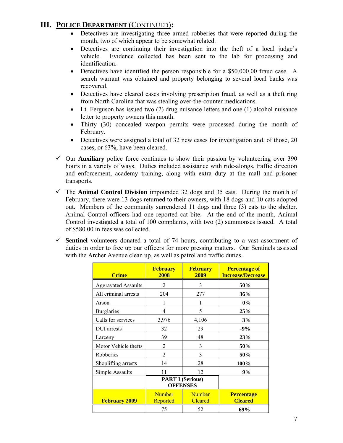## **III. POLICE DEPARTMENT** (CONTINUED)**:**

- Detectives are investigating three armed robberies that were reported during the month, two of which appear to be somewhat related.
- Detectives are continuing their investigation into the theft of a local judge's vehicle. Evidence collected has been sent to the lab for processing and identification.
- Detectives have identified the person responsible for a \$50,000.00 fraud case. A search warrant was obtained and property belonging to several local banks was recovered.
- Detectives have cleared cases involving prescription fraud, as well as a theft ring from North Carolina that was stealing over-the-counter medications.
- Lt. Ferguson has issued two (2) drug nuisance letters and one (1) alcohol nuisance letter to property owners this month.
- Thirty (30) concealed weapon permits were processed during the month of February.
- Detectives were assigned a total of 32 new cases for investigation and, of those, 20 cases, or 63%, have been cleared.
- $\checkmark$  Our **Auxiliary** police force continues to show their passion by volunteering over 390 hours in a variety of ways. Duties included assistance with ride-alongs, traffic direction and enforcement, academy training, along with extra duty at the mall and prisoner transports.
- $\checkmark$  The **Animal Control Division** impounded 32 dogs and 35 cats. During the month of February, there were 13 dogs returned to their owners, with 18 dogs and 10 cats adopted out. Members of the community surrendered 11 dogs and three (3) cats to the shelter. Animal Control officers had one reported cat bite. At the end of the month, Animal Control investigated a total of 100 complaints, with two (2) summonses issued. A total of \$580.00 in fees was collected.
- $\checkmark$  Sentinel volunteers donated a total of 74 hours, contributing to a vast assortment of duties in order to free up our officers for more pressing matters. Our Sentinels assisted with the Archer Avenue clean up, as well as patrol and traffic duties.

| <b>Crime</b>               | <b>February</b><br>2008                    | <b>February</b><br>2009         | <b>Percentage of</b><br><b>Increase/Decrease</b> |
|----------------------------|--------------------------------------------|---------------------------------|--------------------------------------------------|
| <b>Aggravated Assaults</b> | 2                                          | 3                               | 50%                                              |
| All criminal arrests       | 204                                        | 277                             | 36%                                              |
| Arson                      |                                            |                                 | $0\%$                                            |
| <b>Burglaries</b>          | $\overline{4}$                             | 5                               | 25%                                              |
| Calls for services         | 3,976                                      | 4,106                           | 3%                                               |
| DUI arrests                | 32                                         | 29                              | $-9%$                                            |
| Larceny                    | 39                                         | 48                              | 23%                                              |
| Motor Vehicle thefts       | 2                                          | 3                               | 50%                                              |
| Robberies                  | $\mathfrak{D}$                             | 3                               | 50%                                              |
| Shoplifting arrests        | 14                                         | 28                              | 100%                                             |
| Simple Assaults            | 11                                         | 12                              | 9%                                               |
|                            | <b>PART I (Serious)</b><br><b>OFFENSES</b> |                                 |                                                  |
| <b>February 2009</b>       | <b>Number</b><br>Reported                  | <b>Number</b><br><b>Cleared</b> | <b>Percentage</b><br><b>Cleared</b>              |
|                            | 75                                         | 52                              | 69%                                              |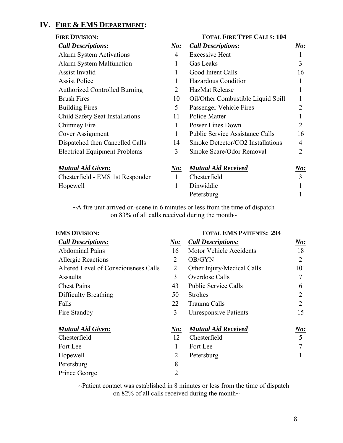## **IV. FIRE & EMS DEPARTMENT:**

| <b>FIRE DIVISION:</b>                |                | <b>TOTAL FIRE TYPE CALLS: 104</b>      |                |  |
|--------------------------------------|----------------|----------------------------------------|----------------|--|
| <b>Call Descriptions:</b>            | No:            | <b>Call Descriptions:</b>              | No:            |  |
| <b>Alarm System Activations</b>      | $\overline{4}$ | <b>Excessive Heat</b>                  |                |  |
| Alarm System Malfunction             | 1              | <b>Gas Leaks</b>                       | 3              |  |
| <b>Assist Invalid</b>                | 1              | Good Intent Calls                      | 16             |  |
| <b>Assist Police</b>                 | 1              | Hazardous Condition                    | 1              |  |
| <b>Authorized Controlled Burning</b> | $\overline{2}$ | <b>HazMat Release</b>                  |                |  |
| <b>Brush Fires</b>                   | 10             | Oil/Other Combustible Liquid Spill     |                |  |
| <b>Building Fires</b>                | 5              | Passenger Vehicle Fires                | 2              |  |
| Child Safety Seat Installations      | 11             | <b>Police Matter</b>                   |                |  |
| Chimney Fire                         | 1              | Power Lines Down                       | 2              |  |
| Cover Assignment                     | 1              | <b>Public Service Assistance Calls</b> | 16             |  |
| Dispatched then Cancelled Calls      | 14             | Smoke Detector/CO2 Installations       | 4              |  |
| <b>Electrical Equipment Problems</b> | 3              | Smoke Scare/Odor Removal               | $\mathfrak{D}$ |  |
| <b>Mutual Aid Given:</b>             | N o:           | <b>Mutual Aid Received</b>             | <u>No:</u>     |  |
| Chesterfield - EMS 1st Responder     | $\mathbf{1}$   | Chesterfield                           | 3              |  |
| Hopewell                             | 1              | Dinwiddie                              |                |  |
|                                      |                | Petersburg                             |                |  |

~A fire unit arrived on-scene in 6 minutes or less from the time of dispatch on 83% of all calls received during the month~

|                | <b>TOTAL EMS PATIENTS: 294</b> |          |  |
|----------------|--------------------------------|----------|--|
| N o:           | <b>Call Descriptions:</b>      | No:      |  |
| 16             | <b>Motor Vehicle Accidents</b> | 18       |  |
| 2              | OB/GYN                         | 2        |  |
| 2              | Other Injury/Medical Calls     | 101      |  |
| 3              | Overdose Calls                 | 7        |  |
| 43             | <b>Public Service Calls</b>    | 6        |  |
| 50             | <b>Strokes</b>                 | 2        |  |
| 22             | Trauma Calls                   | 2        |  |
| 3              | <b>Unresponsive Patients</b>   | 15       |  |
| $N\!o$ :       | <b>Mutual Aid Received</b>     | $N\!o$ : |  |
| 12             | Chesterfield                   | 5        |  |
| 1              | Fort Lee                       | 7        |  |
| $\overline{2}$ | Petersburg                     |          |  |
| 8              |                                |          |  |
| $\overline{2}$ |                                |          |  |
|                |                                |          |  |

~Patient contact was established in 8 minutes or less from the time of dispatch on 82% of all calls received during the month~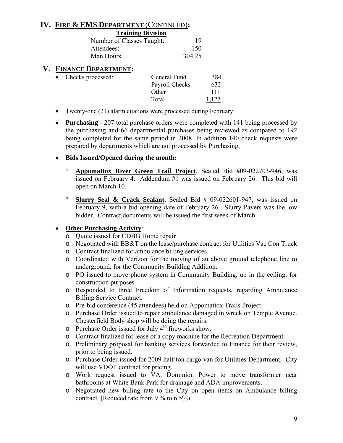## **IV. FIRE & EMS DEPARTMENT** (CONTINUED)**:**

| <b>Training Division</b>  |        |
|---------------------------|--------|
| Number of Classes Taught: | 19     |
| Attendees:                | 150    |
| Man Hours                 | 304.25 |

## **V. FINANCE DEPARTMENT:**

| Checks processed: | General Fund   | 384   |
|-------------------|----------------|-------|
|                   | Payroll Checks | 632   |
|                   | Other          | 111   |
|                   | Total          | 1,127 |

- Twenty-one (21) alarm citations were processed during February.
- **Purchasing**  207 total purchase orders were completed with 141 being processed by the purchasing and 66 departmental purchases being reviewed as compared to 192 being completed for the same period in 2008. In addition 140 check requests were prepared by departments which are not processed by Purchasing.

### • **Bids Issued/Opened during the month:**

- ° **Appomattox River Green Trail Project**, Sealed Bid #09-022703-946, was issued on February 4. Addendum #1 was issued on February 26. This bid will open on March 10.
- ° **Slurry Seal & Crack Sealant**, Sealed Bid # 09-022601-947, was issued on February 9, with a bid opening date of February 26. Slurry Pavers was the low bidder. Contract documents will be issued the first week of March.

## • **Other Purchasing Activity**:

- o Quote issued for CDBG Home repair
- o Negotiated with BB&T on the lease/purchase contract for Utilities Vac Con Truck
- o Contract finalized for ambulance billing services
- o Coordinated with Verizon for the moving of an above ground telephone line to underground, for the Community Building Addition.
- o PO issued to move phone system in Community Building, up in the ceiling, for construction purposes.
- o Responded to three Freedom of Information requests, regarding Ambulance Billing Service Contract.
- o Pre-bid conference (45 attendees) held on Appomattox Trails Project.
- o Purchase Order issued to repair ambulance damaged in wreck on Temple Avenue. Chesterfield Body shop will be doing the repairs.
- $\circ$  Purchase Order issued for July 4<sup>th</sup> fireworks show.
- o Contract finalized for lease of a copy machine for the Recreation Department.
- o Preliminary proposal for banking services forwarded to Finance for their review, prior to being issued.
- o Purchase Order issued for 2009 half ton cargo van for Utilities Department. City will use VDOT contract for pricing.
- o Work request issued to VA. Dominion Power to move transformer near bathrooms at White Bank Park for drainage and ADA improvements.
- o Negotiated new billing rate to the City on open items on Ambulance billing contract. (Reduced rate from 9 % to 6.5%)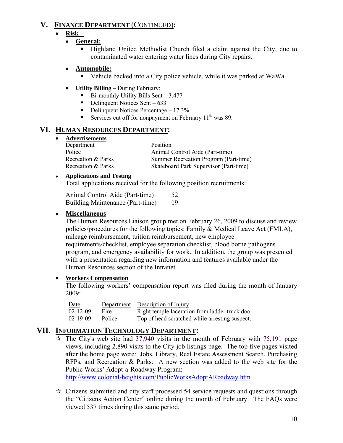## **V. FINANCE DEPARTMENT** (CONTINUED)**:**

## • **Risk –**

- **General:**
	- Highland United Methodist Church filed a claim against the City, due to contaminated water entering water lines during City repairs.

## • **Automobile:**

- Vehicle backed into a City police vehicle, while it was parked at WaWa.
- **Utility Billing** During February:
	- Bi-monthly Utility Bills Sent 3,477
	- $\blacksquare$  Delinquent Notices Sent 633
	- Delinquent Notices Percentage  $-17.3\%$
	- Services cut off for nonpayment on February  $11<sup>th</sup>$  was 89.

## **VI. HUMAN RESOURCES DEPARTMENT:**

• **Advertisements**

| Department         | Position                               |
|--------------------|----------------------------------------|
| Police             | Animal Control Aide (Part-time)        |
| Recreation & Parks | Summer Recreation Program (Part-time)  |
| Recreation & Parks | Skateboard Park Supervisor (Part-time) |

## ● **Applications and Testing**

Total applications received for the following position recruitments:

| Animal Control Aide (Part-time)  | 52 |
|----------------------------------|----|
| Building Maintenance (Part-time) | 19 |

## • **Miscellaneous**

The Human Resources Liaison group met on February 26, 2009 to discuss and review policies/procedures for the following topics: Family & Medical Leave Act (FMLA), mileage reimbursement, tuition reimbursement, new employee requirements/checklist, employee separation checklist, blood borne pathogens program, and emergency availability for work. In addition, the group was presented with a presentation regarding new information and features available under the Human Resources section of the Intranet.

## • **Workers Compensation**

The following workers' compensation report was filed during the month of January 2009:

| Date           |        | Department Description of Injury                |
|----------------|--------|-------------------------------------------------|
| $02 - 12 - 09$ | Fire   | Right temple laceration from ladder truck door. |
| $02 - 19 - 09$ | Police | Top of head scratched while arresting suspect.  |

## **VII. INFORMATION TECHNOLOGY DEPARTMENT:**

 $\dot{\varphi}$  The City's web site had 37,940 visits in the month of February with 75,191 page views, including 2,890 visits to the City job listings page. The top five pages visited after the home page were: Jobs, Library, Real Estate Assessment Search, Purchasing RFPs, and Recreation & Parks. A new section was added to the web site for the Public Works' Adopt-a-Roadway Program: http://www.colonial-heights.com/PublicWorksAdoptARoadway.htm.

 $\star$  Citizens submitted and city staff processed 54 service requests and questions through the "Citizens Action Center" online during the month of February. The FAQs were viewed 537 times during this same period.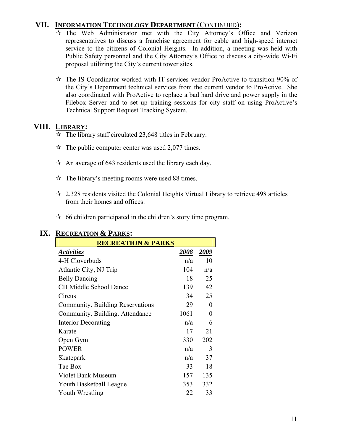## **VII. INFORMATION TECHNOLOGY DEPARTMENT** (CONTINUED)**:**

- $\hat{x}$  The Web Administrator met with the City Attorney's Office and Verizon representatives to discuss a franchise agreement for cable and high-speed internet service to the citizens of Colonial Heights. In addition, a meeting was held with Public Safety personnel and the City Attorney's Office to discuss a city-wide Wi-Fi proposal utilizing the City's current tower sites.
- $\hat{x}$  The IS Coordinator worked with IT services vendor ProActive to transition 90% of the City's Department technical services from the current vendor to ProActive. She also coordinated with ProActive to replace a bad hard drive and power supply in the Filebox Server and to set up training sessions for city staff on using ProActive's Technical Support Request Tracking System.

## **VIII. LIBRARY:**

- $\approx$  The library staff circulated 23,648 titles in February.
- $\approx$  The public computer center was used 2,077 times.
- $\hat{x}$  An average of 643 residents used the library each day.
- $\hat{x}$  The library's meeting rooms were used 88 times.
- $\approx$  2,328 residents visited the Colonial Heights Virtual Library to retrieve 498 articles from their homes and offices.
- $\approx$  66 children participated in the children's story time program.

| <b>RECREATION &amp; PARKS</b>    |      |          |
|----------------------------------|------|----------|
| <b>Activities</b>                | 2008 | 2009     |
| 4-H Cloverbuds                   | n/a  | 10       |
| Atlantic City, NJ Trip           | 104  | n/a      |
| <b>Belly Dancing</b>             | 18   | 25       |
| <b>CH Middle School Dance</b>    | 139  | 142      |
| Circus                           | 34   | 25       |
| Community. Building Reservations | 29   | $\theta$ |
| Community. Building. Attendance  | 1061 | 0        |
| <b>Interior Decorating</b>       | n/a  | 6        |
| Karate                           | 17   | 21       |
| Open Gym                         | 330  | 202      |
| <b>POWER</b>                     | n/a  | 3        |
| Skatepark                        | n/a  | 37       |
| Tae Box                          | 33   | 18       |
| <b>Violet Bank Museum</b>        | 157  | 135      |
| Youth Basketball League          | 353  | 332      |
| Youth Wrestling                  | 22   | 33       |

## **IX. RECREATION & PARKS:**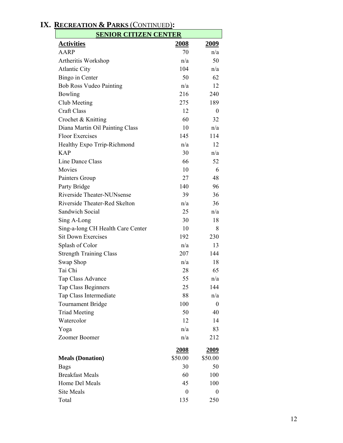| <b>SENIOR CITIZEN CENTER</b>      |                  |             |
|-----------------------------------|------------------|-------------|
| <b>Activities</b>                 | 2008             | <u>2009</u> |
| <b>AARP</b>                       | 70               | n/a         |
| Artheritis Workshop               | n/a              | 50          |
| <b>Atlantic City</b>              | 104              | n/a         |
| Bingo in Center                   | 50               | 62          |
| <b>Bob Ross Vudeo Painting</b>    | n/a              | 12          |
| Bowling                           | 216              | 240         |
| Club Meeting                      | 275              | 189         |
| <b>Craft Class</b>                | 12               | 0           |
| Crochet & Knitting                | 60               | 32          |
| Diana Martin Oil Painting Class   | 10               | n/a         |
| <b>Floor Exercises</b>            | 145              | 114         |
| Healthy Expo Trrip-Richmond       | n/a              | 12          |
| <b>KAP</b>                        | 30               | n/a         |
| Line Dance Class                  | 66               | 52          |
| Movies                            | 10               | 6           |
| Painters Group                    | 27               | 48          |
| Party Bridge                      | 140              | 96          |
| Riverside Theater-NUNsense        | 39               | 36          |
| Riverside Theater-Red Skelton     | n/a              | 36          |
| Sandwich Social                   | 25               | n/a         |
| Sing A-Long                       | 30               | 18          |
| Sing-a-long CH Health Care Center | 10               | 8           |
| <b>Sit Down Exercises</b>         | 192              | 230         |
| Splash of Color                   | n/a              | 13          |
| <b>Strength Training Class</b>    | 207              | 144         |
| Swap Shop                         | n/a              | 18          |
| Tai Chi                           | 28               | 65          |
| Tap Class Advance                 | 55               | n/a         |
| <b>Tap Class Beginners</b>        | 25               | 144         |
| Tap Class Intermediate            | 88               | n/a         |
| <b>Tournament Bridge</b>          | 100              | $\theta$    |
| <b>Triad Meeting</b>              | 50               | 40          |
| Watercolor                        | 12               | 14          |
| Yoga                              | n/a              | 83          |
| Zoomer Boomer                     | n/a              | 212         |
|                                   | 2008             | 2009        |
| <b>Meals (Donation)</b>           | \$50.00          | \$50.00     |
| <b>Bags</b>                       | 30               | 50          |
| <b>Breakfast Meals</b>            | 60               | 100         |
| Home Del Meals                    | 45               | 100         |
| <b>Site Meals</b>                 | $\boldsymbol{0}$ | 0           |
| Total                             | 135              | 250         |
|                                   |                  |             |

## **IX. RECREATION & PARKS** (CONTINUED)**:**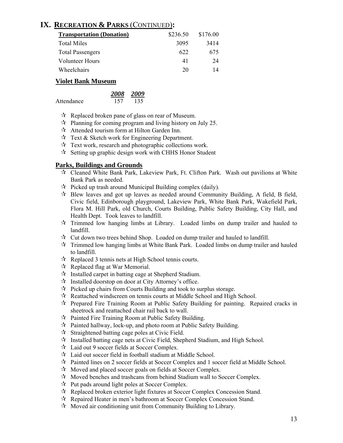## **IX. RECREATION & PARKS** (CONTINUED)**:**

| <b>Transportation (Donation)</b> | \$236.50 | \$176.00 |
|----------------------------------|----------|----------|
| <b>Total Miles</b>               | 3095     | 3414     |
| <b>Total Passengers</b>          | 622      | 675      |
| Volunteer Hours                  | 41       | 24       |
| Wheelchairs                      | 20       | 14       |

### **Violet Bank Museum**

|            | 2008 2009 |     |
|------------|-----------|-----|
| Attendance | 157       | 135 |

- $\mathcal{R}$  Replaced broken pane of glass on rear of Museum.
- $\mathcal{R}$  Planning for coming program and living history on July 25.
- $\mathcal{A}$  Attended tourism form at Hilton Garden Inn.
- $\mathcal{R}$  Text & Sketch work for Engineering Department.
- $\mathcal{R}$  Text work, research and photographic collections work.
- $\mathcal{R}$  Setting up graphic design work with CHHS Honor Student

### **Parks, Buildings and Grounds**

- Cleaned White Bank Park, Lakeview Park, Ft. Clifton Park. Wash out pavilions at White Bank Park as needed.
- $\mathcal{R}$  Picked up trash around Municipal Building complex (daily).
- $\mathcal{R}$  Blew leaves and got up leaves as needed around Community Building, A field, B field, Civic field, Edinborough playground, Lakeview Park, White Bank Park, Wakefield Park, Flora M. Hill Park, old Church, Courts Building, Public Safety Building, City Hall, and Health Dept. Took leaves to landfill.
- $\vec{x}$  Trimmed low hanging limbs at Library. Loaded limbs on dump trailer and hauled to landfill.
- $\vec{x}$  Cut down two trees behind Shop. Loaded on dump trailer and hauled to landfill.
- $\mathcal{R}$  Trimmed low hanging limbs at White Bank Park. Loaded limbs on dump trailer and hauled to landfill.
- $\mathcal{R}$  Replaced 3 tennis nets at High School tennis courts.
- $\forall$  Replaced flag at War Memorial.
- $\mathcal{R}$  Installed carpet in batting cage at Shepherd Stadium.
- $\mathcal{R}$  Installed doorstop on door at City Attorney's office.
- $\vec{x}$  Picked up chairs from Courts Building and took to surplus storage.
- $\mathcal{R}$  Reattached windscreen on tennis courts at Middle School and High School.
- $\mathcal{R}$  Prepared Fire Training Room at Public Safety Building for painting. Repaired cracks in sheetrock and reattached chair rail back to wall.
- $\mathcal{R}$  Painted Fire Training Room at Public Safety Building.
- $\mathcal{R}$  Painted hallway, lock-up, and photo room at Public Safety Building.
- $\mathcal{R}$  Straightened batting cage poles at Civic Field.
- $\mathcal{R}$  Installed batting cage nets at Civic Field, Shepherd Stadium, and High School.
- Laid out 9 soccer fields at Soccer Complex.
- $\lambda$  Laid out soccer field in football stadium at Middle School.
- Painted lines on 2 soccer fields at Soccer Complex and 1 soccer field at Middle School.
- $\mathcal{R}$  Moved and placed soccer goals on fields at Soccer Complex.
- $\lambda$  Moved benches and trashcans from behind Stadium wall to Soccer Complex.
- $\mathcal{R}$  Put pads around light poles at Soccer Complex.
- $\mathcal{R}$  Replaced broken exterior light fixtures at Soccer Complex Concession Stand.
- $\mathcal{R}$  Repaired Heater in men's bathroom at Soccer Complex Concession Stand.
- $\mathcal{A}$  Moved air conditioning unit from Community Building to Library.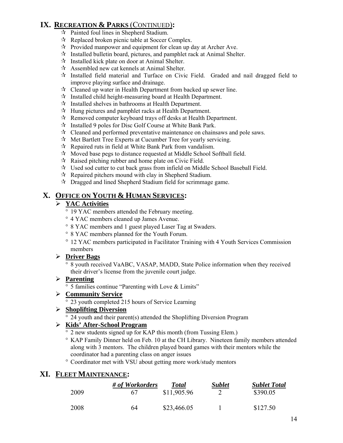## **IX. RECREATION & PARKS** (CONTINUED)**:**

- Painted foul lines in Shepherd Stadium.
- $\mathcal{R}$  Replaced broken picnic table at Soccer Complex.
- $\mathcal{R}$  Provided manpower and equipment for clean up day at Archer Ave.
- $\mathcal{R}$  Installed bulletin board, pictures, and pamphlet rack at Animal Shelter.
- $\mathcal{R}$  Installed kick plate on door at Animal Shelter.
- $\mathcal{A}$  Assembled new cat kennels at Animal Shelter.
- $\mathcal{R}$  Installed field material and Turface on Civic Field. Graded and nail dragged field to improve playing surface and drainage.
- $\hat{x}$  Cleaned up water in Health Department from backed up sewer line.
- $\mathcal{R}$  Installed child height-measuring board at Health Department.
- $\mathcal{R}$  Installed shelves in bathrooms at Health Department.
- $\mathcal{A}$  Hung pictures and pamphlet racks at Health Department.
- $\mathcal{R}$  Removed computer keyboard trays off desks at Health Department.
- $\mathcal{R}$  Installed 9 poles for Disc Golf Course at White Bank Park.
- $\mathcal{R}$  Cleaned and performed preventative maintenance on chainsaws and pole saws.
- $\mathcal{A}$  Met Bartlett Tree Experts at Cucumber Tree for yearly servicing.
- $\mathcal{R}$  Repaired ruts in field at White Bank Park from vandalism.
- $\mathcal{R}$  Moved base pegs to distance requested at Middle School Softball field.
- $\mathcal{R}$  Raised pitching rubber and home plate on Civic Field.
- Used sod cutter to cut back grass from infield on Middle School Baseball Field.
- $\mathcal{R}$  Repaired pitchers mound with clay in Shepherd Stadium.
- $\mathcal{R}$  Dragged and lined Shepherd Stadium field for scrimmage game.

## **X. OFFICE ON YOUTH & HUMAN SERVICES:**

## ¾ **YAC Activities**

- ° 19 YAC members attended the February meeting.
- ° 4 YAC members cleaned up James Avenue.
- ° 8 YAC members and 1 guest played Laser Tag at Swaders.
- ° 8 YAC members planned for the Youth Forum.
- ° 12 YAC members participated in Facilitator Training with 4 Youth Services Commission members

### ¾ **Driver Bags**

° 8 youth received VaABC, VASAP, MADD, State Police information when they received their driver's license from the juvenile court judge.

### ¾ **Parenting**

° 5 families continue "Parenting with Love & Limits"

### ¾ **Community Service**

° 23 youth completed 215 hours of Service Learning

### ¾ **Shoplifting Diversion**

° 24 youth and their parent(s) attended the Shoplifting Diversion Program

## ¾ **Kids' After-School Program**

- ° 2 new students signed up for KAP this month (from Tussing Elem.)
- ° KAP Family Dinner held on Feb. 10 at the CH Library. Nineteen family members attended along with 3 mentors. The children played board games with their mentors while the coordinator had a parenting class on anger issues
- ° Coordinator met with VSU about getting more work/study mentors

## **XI. FLEET MAINTENANCE:**

|      | # of Workorders | <b>Total</b> | <b>Sublet</b> | <b>Sublet Total</b> |
|------|-----------------|--------------|---------------|---------------------|
| 2009 | 67              | \$11,905.96  |               | \$390.05            |
| 2008 | 64              | \$23,466.05  |               | \$127.50            |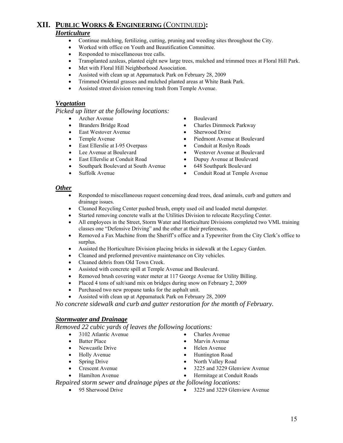### **XII. PUBLIC WORKS & ENGINEERING** (CONTINUED)**:** *Horticulture*

- Continue mulching, fertilizing, cutting, pruning and weeding sites throughout the City.
- Worked with office on Youth and Beautification Committee.
- Responded to miscellaneous tree calls.
- Transplanted azaleas, planted eight new large trees, mulched and trimmed trees at Floral Hill Park.
- Met with Floral Hill Neighborhood Association.
- Assisted with clean up at Appamatuck Park on February 28, 2009
- Trimmed Oriental grasses and mulched planted areas at White Bank Park.
- Assisted street division removing trash from Temple Avenue.

#### *Vegetation*

*Picked up litter at the following locations:* 

- Archer Avenue Boulevard
- 
- East Westover Avenue Sherwood Drive
- 
- East Ellerslie at I-95 Overpass Conduit at Roslyn Roads
- 
- East Ellerslie at Conduit Road Dupuy Avenue at Boulevard
- Southpark Boulevard at South Avenue 648 Southpark Boulevard
- 
- 
- Branders Bridge Road Charles Dimmock Parkway
	-
- Temple Avenue Piedmont Avenue at Boulevard
	-
- Lee Avenue at Boulevard Westover Avenue at Boulevard
	-
	-
	- Suffolk Avenue Conduit Road at Temple Avenue

#### *Other*

- Responded to miscellaneous request concerning dead trees, dead animals, curb and gutters and drainage issues.
- Cleaned Recycling Center pushed brush, empty used oil and loaded metal dumpster.
- Started removing concrete walls at the Utilities Division to relocate Recycling Center.
- All employees in the Street, Storm Water and Horticulture Divisions completed two VML training classes one "Defensive Driving" and the other at their preferences.
- Removed a Fax Machine from the Sheriff's office and a Typewriter from the City Clerk's office to surplus.
- Assisted the Horticulture Division placing bricks in sidewalk at the Legacy Garden.
- Cleaned and preformed preventive maintenance on City vehicles.
- Cleaned debris from Old Town Creek.
- Assisted with concrete spill at Temple Avenue and Boulevard.
- Removed brush covering water meter at 117 George Avenue for Utility Billing.
- Placed 4 tons of salt/sand mix on bridges during snow on February 2, 2009
- Purchased two new propane tanks for the asphalt unit.
- Assisted with clean up at Appamatuck Park on February 28, 2009

*No concrete sidewalk and curb and gutter restoration for the month of February.* 

#### *Stormwater and Drainage*

*Removed 22 cubic yards of leaves the following locations:* 

- 3102 Atlantic Avenue Charles Avenue
- 
- 
- 
- 
- 
- 
- 
- Batter Place Marvin Avenue
	-
	-
	-
	-
- Hamilton Avenue Hermitage at Conduit Roads

*Repaired storm sewer and drainage pipes at the following locations:* 

- 
- 95 Sherwood Drive 3225 and 3229 Glenview Avenue
- Newcastle Drive Helen Avenue
	-
	-
	-
- Holly Avenue Huntington Road
- Spring Drive North Valley Road
- Crescent Avenue 3225 and 3229 Glenview Avenue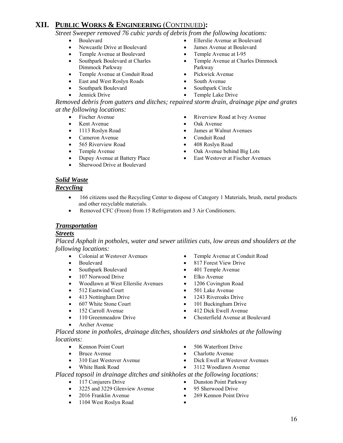## **XII. PUBLIC WORKS & ENGINEERING** (CONTINUED)**:**

*Street Sweeper removed 76 cubic yards of debris from the following locations:* 

- 
- 
- Temple Avenue at Boulevard Temple Avenue at I-95
- Southpark Boulevard at Charles Dimmock Parkway
- Temple Avenue at Conduit Road Pickwick Avenue
- **East and West Roslyn Roads** South Avenue
- Southpark Boulevard Southpark Circle
- 
- Boulevard Ellerslie Avenue at Boulevard
	- Newcastle Drive at Boulevard James Avenue at Boulevard
		-
		- Temple Avenue at Charles Dimmock Parkway
		-
		-
		-
	- Jennick Drive Temple Lake Drive

*Removed debris from gutters and ditches; repaired storm drain, drainage pipe and grates at the following locations:* 

- 
- 
- 
- Cameron Avenue Conduit Road
- 
- 
- 
- Sherwood Drive at Boulevard
- Fischer Avenue Riverview Road at Ivey Avenue
	- Kent Avenue Oak Avenue
- 1113 Roslyn Road James at Walnut Avenues
	-
	- 565 Riverview Road 408 Roslyn Road
- Temple Avenue Oak Avenue behind Big Lots
- Dupuy Avenue at Battery Place East Westover at Fischer Avenues

## *Solid Waste*

### *Recycling*

- 166 citizens used the Recycling Center to dispose of Category 1 Materials, brush, metal products and other recyclable materials.
- Removed CFC (Freon) from 15 Refrigerators and 3 Air Conditioners.

### *Transportation*

### *Streets*

*Placed Asphalt in potholes, water and sewer utilities cuts, low areas and shoulders at the following locations:* 

- Colonial at Westover Avenues Temple Avenue at Conduit Road
- 
- Southpark Boulevard 401 Temple Avenue
- 107 Norwood Drive Elko Avenue
- Woodlawn at West Ellerslie Avenues 1206 Covington Road
- 
- 413 Nottingham Drive 1243 Riveroaks Drive
- 
- 
- 
- Archer Avenue
- 
- Boulevard 817 Forest View Drive
	-
	-
	-
	-
	-
- 607 White Stone Court 101 Buckingham Drive
- 152 Carroll Avenue 412 Dick Ewell Avenue
- 110 Greenmeadow Drive Chesterfield Avenue at Boulevard
- *Placed stone in potholes, drainage ditches, shoulders and sinkholes at the following locations:* 
	-
	-
	-
	- Kennon Point Court 506 Waterfront Drive
	- Bruce Avenue Charlotte Avenue
		- 310 East Westover Avenue Dick Ewell at Westover Avenues
	- White Bank Road 3112 Woodlawn Avenue

### *Placed topsoil in drainage ditches and sinkholes at the following locations:*

- 117 Conjurers Drive Dunston Point Parkway
- 3225 and 3229 Glenview Avenue 95 Sherwood Drive
- 2016 Franklin Avenue 269 Kennon Point Drive
- 1104 West Roslyn Road •
- 
- 
- 

16

- 
- 
- 
- 512 Eastwind Court 501 Lake Avenue
-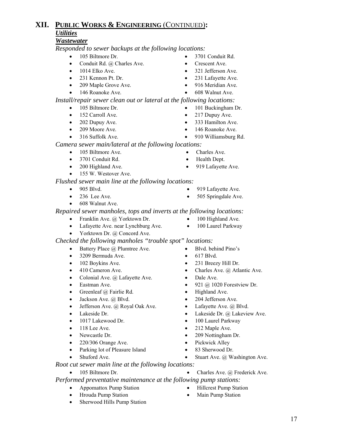### **XII. PUBLIC WORKS & ENGINEERING** (CONTINUED)**:** *Utilities*

### *Wastewater*

*Responded to sewer backups at the following locations:*

- 105 Biltmore Dr. 3701 Conduit Rd.
- Conduit Rd. @ Charles Ave. Crescent Ave.
- 1014 Elko Ave. 321 Jefferson Ave.
- 231 Kennon Pt. Dr. 231 Lafayette Ave.
- 209 Maple Grove Ave. 916 Meridian Ave.
- 146 Roanoke Ave. 608 Walnut Ave.

*Install/repair sewer clean out or lateral at the following locations:* 

- 105 Biltmore Dr. 101 Buckingham Dr.
- 152 Carroll Ave. 217 Dupuy Ave.
- 202 Dupuy Ave. 333 Hamilton Ave.
- 
- 
- 
- 209 Moore Ave. 146 Roanoke Ave.
- 316 Suffolk Ave. 910 Williamsburg Rd.

*Camera sewer main/lateral at the following locations:*

- 105 Biltmore Ave. Charles Ave.
- 3701 Conduit Rd. Health Dept.
- 200 Highland Ave. 919 Lafayette Ave.
- 155 W. Westover Ave.

### *Flushed sewer main line at the following locations:*

- 905 Blvd. 919 Lafayette Ave.
- 236 Lee Ave. 505 Springdale Ave.
- 608 Walnut Ave.

 *Repaired sewer manholes, tops and inverts at the following locations:* 

- Franklin Ave. @ Yorktown Dr. 100 Highland Ave.
- Lafayette Ave. near Lynchburg Ave. 100 Laurel Parkway
- Yorktown Dr. @ Concord Ave.

*Checked the following manholes "trouble spot" locations:* 

- Battery Place @ Plumtree Ave. Blvd. behind Pino's
- 3209 Bermuda Ave. 617 Blvd.
- 
- 
- Colonial Ave. @ Lafayette Ave. Dale Ave.
- 
- Greenleaf @ Fairlie Rd. Highland Ave.
- Jackson Ave. @ Blvd. 204 Jefferson Ave.
- Jefferson Ave. @ Royal Oak Ave. Lafayette Ave. @ Blvd.
- 
- 1017 Lakewood Dr. 100 Laurel Parkway
- 
- 
- 220/306 Orange Ave. Pickwick Alley
- Parking lot of Pleasure Island 83 Sherwood Dr.
- 
- *Root cut sewer main line at the following locations:*  • 105 Biltmore Dr. • Charles Ave. @ Frederick Ave.

 *Performed preventative maintenance at the following pump stations:* 

- Appomattox Pump Station Hillcrest Pump Station
- Hrouda Pump Station Main Pump Station
- Sherwood Hills Pump Station
- 
- 
- 
- 
- 
- 
- 102 Boykins Ave. 231 Breezy Hill Dr.
- 410 Cameron Ave. Charles Ave. @ Atlantic Ave.
	-
- Eastman Ave. 921  $\omega$  1020 Forestview Dr.
	-
	-
	-
- Lakeside Dr. Lakeside Dr. @ Lakeview Ave.
	-
- 118 Lee Ave. 212 Maple Ave.
- Newcastle Dr. 209 Nottingham Dr.
	-
	-
	- Stuart Ave. @ Washington Ave.
- -
	-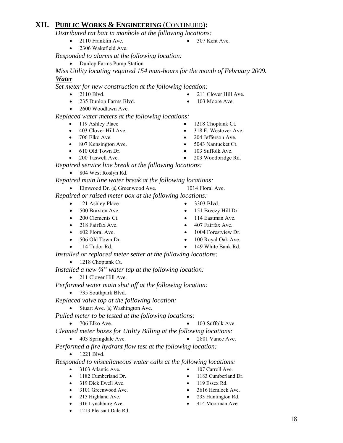## **XII. PUBLIC WORKS & ENGINEERING** (CONTINUED)**:**

*Distributed rat bait in manhole at the following locations:* 

- 2110 Franklin Ave. 307 Kent Ave.
- 2306 Wakefield Ave.

*Responded to alarms at the following location:* 

• Dunlop Farms Pump Station

*Miss Utility locating required 154 man-hours for the month of February 2009.* 

### *Water*

*Set meter for new construction at the following location:* 

- 2110 Blvd. 211 Clover Hill Ave.
- 235 Dunlop Farms Blvd. 103 Moore Ave.
- 2600 Woodlawn Ave.

*Replaced water meters at the following locations:* 

- 119 Ashley Place 1218 Choptank Ct.
- 
- 
- 807 Kensington Ave. 5043 Nantucket Ct.
- 
- 
- *Repaired service line break at the following locations:*
	- 804 West Roslyn Rd.

*Repaired main line water break at the following locations:* 

• Elmwood Dr. @ Greenwood Ave. 1014 Floral Ave.

 *Repaired or raised meter box at the following locations:* 

- 121 Ashley Place 3303 Blvd.
- 
- 
- 
- 
- 
- 

*Installed or replaced meter setter at the following locations:*

• 1218 Choptank Ct.

*Installed a new ¾" water tap at the following location:* 

• 211 Clover Hill Ave.

*Performed water main shut off at the following location:* 

• 735 Southpark Blvd.

*Replaced valve top at the following location:* 

• Stuart Ave.  $\omega$  Washington Ave.

*Pulled meter to be tested at the following locations:* 

- 706 Elko Ave. 103 Suffolk Ave.
- *Cleaned meter boxes for Utility Billing at the following locations:*
- 403 Springdale Ave. 2801 Vance Ave.

*Performed a fire hydrant flow test at the following location:* 

• 1221 Blvd.

*Responded to miscellaneous water calls at the following locations:* 

- 3103 Atlantic Ave. 107 Carroll Ave.
- 1182 Cumberland Dr. 1183 Cumberland Dr.
- 319 Dick Ewell Ave. 119 Essex Rd.
- 3101 Greenwood Ave. 3616 Hemlock Ave.
- 
- 316 Lynchburg Ave. 414 Moorman Ave.
- 1213 Pleasant Dale Rd.
- 
- 403 Clover Hill Ave. 318 E. Westover Ave.
- 706 Elko Ave. 204 Jefferson Ave.
	-
- 610 Old Town Dr. 103 Suffolk Ave.
- 200 Taswell Ave. 203 Woodbridge Rd.

- 
- 
- 
- 
- 
- 
- 
- 
- 
- 
- 
- 215 Highland Ave. 233 Huntington Rd.
	-
- 
- 
- 
- 500 Braxton Ave. 151 Breezy Hill Dr.
- 200 Clements Ct. 114 Eastman Ave.
- 218 Fairfax Ave. 407 Fairfax Ave.
- 602 Floral Ave. 1004 Forestview Dr.
- 506 Old Town Dr. 100 Royal Oak Ave.
- 114 Tudor Rd. 149 White Bank Rd.